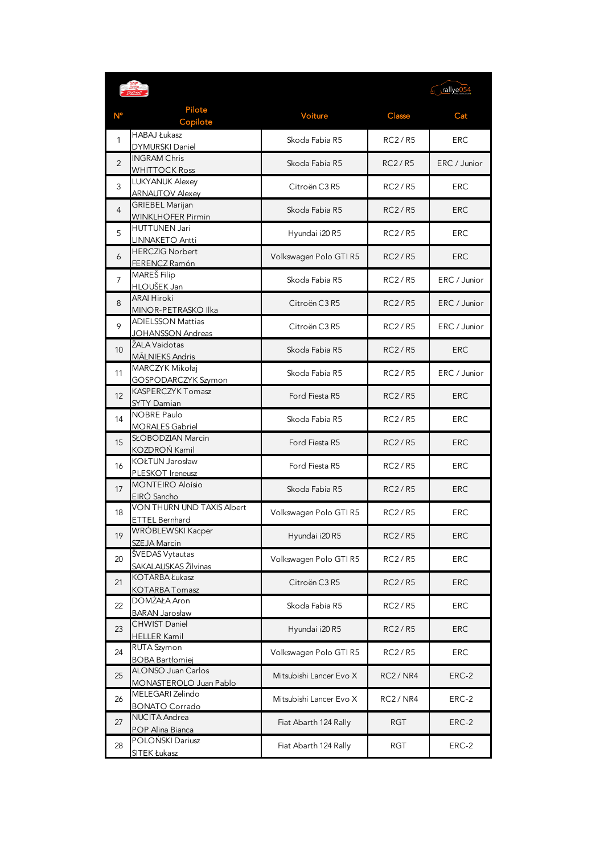|                 |                                                                   |                         | Fillye054      |              |
|-----------------|-------------------------------------------------------------------|-------------------------|----------------|--------------|
|                 | Pilote<br>Copilote                                                | Voiture                 | Classe         | Cat          |
| 1               | <b>HABAJ Łukasz</b><br><b>DYMURSKI Daniel</b>                     | Skoda Fabia R5          | <b>RC2/R5</b>  | <b>ERC</b>   |
| $\overline{2}$  | <b>INGRAM Chris</b><br><b>WHITTOCK Ross</b>                       | Skoda Fabia R5          | <b>RC2/R5</b>  | ERC / Junior |
| 3               | <b>LUKYANUK Alexey</b><br><b>ARNAUTOV Alexey</b>                  | Citroën C3 R5           | <b>RC2/R5</b>  | <b>ERC</b>   |
| 4               | <b>GRIEBEL Marijan</b><br><b>WINKLHOFER Pirmin</b>                | Skoda Fabia R5          | <b>RC2/R5</b>  | <b>ERC</b>   |
| 5               | <b>HUTTUNEN Jari</b><br>LINNAKETO Antti                           | Hyundai i20 R5          | RC2/R5         | <b>ERC</b>   |
| 6               | <b>HERCZIG Norbert</b><br>FERENCZ Ramón                           | Volkswagen Polo GTI R5  | <b>RC2/R5</b>  | <b>ERC</b>   |
| $\overline{7}$  | MAREŠ Filip<br>HLOUŠEK Jan                                        | Skoda Fabia R5          | <b>RC2/R5</b>  | ERC / Junior |
| 8               | <b>ARAI Hiroki</b><br>MINOR-PETRASKO Ilka                         | Citroën C3 R5           | RC2/R5         | ERC / Junior |
| 9               | <b>ADIELSSON Mattias</b><br><b>JOHANSSON Andreas</b>              | Citroën C3 R5           | <b>RC2/R5</b>  | ERC / Junior |
| 10 <sup>°</sup> | ŽALA Vaidotas<br>MĀLNIEKS Andris                                  | Skoda Fabia R5          | <b>RC2/R5</b>  | <b>ERC</b>   |
| 11              | MARCZYK Mikołaj<br>GOSPODARCZYK Szymon                            | Skoda Fabia R5          | RC2/R5         | ERC / Junior |
| 12 <sup>2</sup> | <b>KASPERCZYK Tomasz</b><br><b>SYTY Damian</b>                    | Ford Fiesta R5          | RC2/R5         | <b>ERC</b>   |
| 14              | <b>NOBRE Paulo</b><br><b>MORALES Gabriel</b><br>SŁOBODZIAN Marcin | Skoda Fabia R5          | RC2/R5         | <b>ERC</b>   |
| 15              | KOZDROŃ Kamil<br>KOŁTUN Jarosław                                  | Ford Fiesta R5          | RC2/R5         | <b>ERC</b>   |
| 16              | PLESKOT Ireneusz<br><b>MONTEIRO Aloísio</b>                       | Ford Fiesta R5          | RC2/R5         | <b>ERC</b>   |
| 17              | EIRÓ Sancho<br>VON THURN UND TAXIS Albert                         | Skoda Fabia R5          | RC2/RS         | <b>ERC</b>   |
| 18              | <b>ETTEL Bernhard</b>                                             | Volkswagen Polo GTI R5  | RC2/R5         | <b>ERC</b>   |
| 19              | WRÓBLEWSKI Kacper<br>SZEJA Marcin                                 | Hyundai i20 R5          | RC2/R5         | <b>ERC</b>   |
| 20              | ŠVEDAS Vytautas<br>SAKALAUSKAS Žilvinas                           | Volkswagen Polo GTI R5  | RC2/R5         | <b>ERC</b>   |
| 21              | KOTARBA Łukasz<br>KOTARBA Tomasz                                  | Citroën C3 R5           | RC2/R5         | ERC          |
| 22              | DOMŻAŁA Aron<br><b>BARAN Jarosław</b>                             | Skoda Fabia R5          | <b>RC2/R5</b>  | <b>ERC</b>   |
| 23              | <b>CHWIST Daniel</b><br><b>HELLER Kamil</b>                       | Hyundai i20 R5          | RC2/R5         | <b>ERC</b>   |
| 24              | RUTA Szymon<br><b>BOBA Bartłomiej</b>                             | Volkswagen Polo GTI R5  | <b>RC2/R5</b>  | <b>ERC</b>   |
| 25              | ALONSO Juan Carlos<br>MONASTEROLO Juan Pablo                      | Mitsubishi Lancer Evo X | <b>RC2/NR4</b> | ERC-2        |
| 26              | MELEGARI Zelindo<br><b>BONATO Corrado</b>                         | Mitsubishi Lancer Evo X | <b>RC2/NR4</b> | ERC-2        |
| 27              | <b>NUCITA Andrea</b><br>POP Alina Bianca                          | Fiat Abarth 124 Rally   | RGT            | ERC-2        |
| 28              | POLOŃSKI Dariusz<br>SITEK Łukasz                                  | Fiat Abarth 124 Rally   | <b>RGT</b>     | ERC-2        |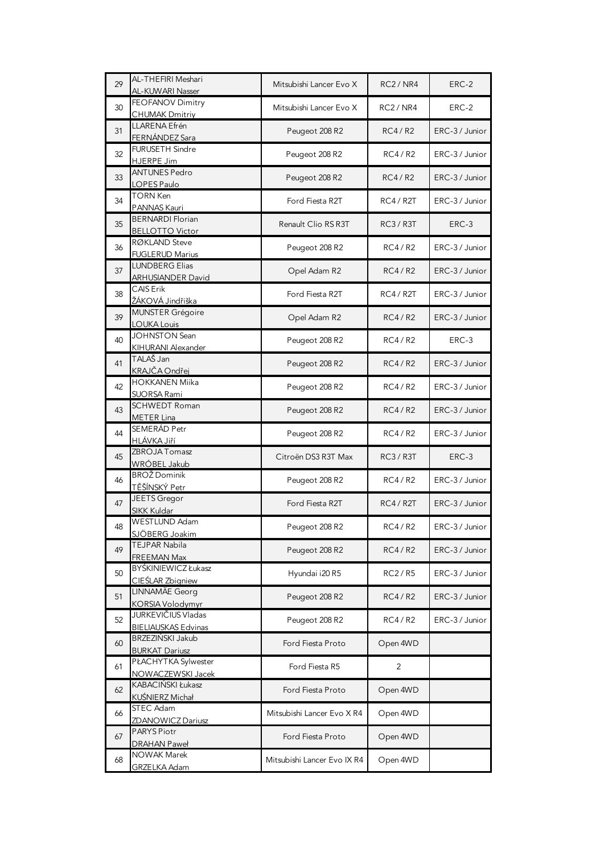| 29 | AL-THEFIRI Meshari<br>AL-KUWARI Nasser            | Mitsubishi Lancer Evo X     | <b>RC2/NR4</b> | ERC-2          |
|----|---------------------------------------------------|-----------------------------|----------------|----------------|
| 30 | FEOFANOV Dimitry<br><b>CHUMAK Dmitriy</b>         | Mitsubishi Lancer Evo X     | RC2/NR4        | ERC-2          |
| 31 | LLARENA Efrén<br>FERNÁNDEZ Sara                   | Peugeot 208 R2              | RC4/R2         | ERC-3 / Junior |
| 32 | FURUSETH Sindre<br>HJERPE Jim                     | Peugeot 208 R2              | RC4 / R2       | ERC-3 / Junior |
| 33 | <b>ANTUNES Pedro</b><br>LOPES Paulo               | Peugeot 208 R2              | <b>RC4/R2</b>  | ERC-3 / Junior |
| 34 | <b>TORN Ken</b><br>PANNAS Kauri                   | Ford Fiesta R2T             | <b>RC4/R2T</b> | ERC-3 / Junior |
| 35 | <b>BERNARDI Florian</b><br><b>BELLOTTO Victor</b> | Renault Clio RS R3T         | RC3/R3T        | ERC-3          |
| 36 | RØKLAND Steve<br><b>FUGLERUD Marius</b>           | Peugeot 208 R2              | RC4/R2         | ERC-3 / Junior |
| 37 | <b>LUNDBERG Elias</b><br><b>ARHUSIANDER David</b> | Opel Adam R2                | RC4/R2         | ERC-3 / Junior |
| 38 | CAIS Erik<br>ŽÁKOVÁ Jindřiška                     | Ford Fiesta R2T             | RC4/R2T        | ERC-3 / Junior |
| 39 | MUNSTER Grégoire<br><b>LOUKA Louis</b>            | Opel Adam R2                | RC4/R2         | ERC-3 / Junior |
| 40 | <b>JOHNSTON Sean</b><br>KIHURANI Alexander        | Peugeot 208 R2              | RC4/R2         | ERC-3          |
| 41 | TALAŠ Jan<br>KRAJČA Ondřej                        | Peugeot 208 R2              | RC4/R2         | ERC-3 / Junior |
| 42 | <b>HOKKANEN Miika</b><br>SUORSA Rami              | Peugeot 208 R2              | RC4/R2         | ERC-3 / Junior |
| 43 | <b>SCHWEDT Roman</b><br><b>METER Lina</b>         | Peugeot 208 R2              | <b>RC4/R2</b>  | ERC-3 / Junior |
| 44 | SEMERÁD Petr<br>HLÁVKA Jiří                       | Peugeot 208 R2              | RC4/R2         | ERC-3 / Junior |
| 45 | ZBROJA Tomasz<br>WRÓBEL Jakub                     | Citroën DS3 R3T Max         | RC3/R3T        | ERC-3          |
| 46 | <b>BROŽ</b> Dominik<br>TĚŠÍNSKÝ Petr              | Peugeot 208 R2              | RC4 / R2       | ERC-3 / Junior |
| 47 | JEETS Gregor<br>SIKK Kuldar                       | Ford Fiesta R2T             | <b>RC4/R2T</b> | ERC-3 / Junior |
| 48 | <b>WESTLUND Adam</b><br>SJÖBERG Joakim            | Peugeot 208 R2              | <b>RC4/R2</b>  | ERC-3 / Junior |
| 49 | TEJPAR Nabila<br>FREEMAN Max                      | Peugeot 208 R2              | RC4/R2         | ERC-3 / Junior |
| 50 | BYŚKINIEWICZ Łukasz<br>CIEŚLAR Zbigniew           | Hyundai i20 R5              | RC2/R5         | ERC-3 / Junior |
| 51 | LINNAMÄE Georg<br>KORSIA Volodymyr                | Peugeot 208 R2              | RC4/R2         | ERC-3 / Junior |
| 52 | JURKEVIČIUS Vladas<br><b>BIELIAUSKAS Edvinas</b>  | Peugeot 208 R2              | RC4/R2         | ERC-3 / Junior |
| 60 | BRZEZIŃSKI Jakub<br><b>BURKAT Dariusz</b>         | Ford Fiesta Proto           | Open 4WD       |                |
| 61 | PŁACHYTKA Sylwester<br>NOWACZEWSKI Jacek          | Ford Fiesta R5              | 2              |                |
| 62 | KABACIŃSKI Łukasz<br>KUŚNIERZ Michał              | Ford Fiesta Proto           | Open 4WD       |                |
| 66 | STEC Adam<br><b>ZDANOWICZ Dariusz</b>             | Mitsubishi Lancer Evo X R4  | Open 4WD       |                |
| 67 | <b>PARYS Piotr</b><br><b>DRAHAN Paweł</b>         | Ford Fiesta Proto           | Open 4WD       |                |
| 68 | NOWAK Marek<br>GRZELKA Adam                       | Mitsubishi Lancer Evo IX R4 | Open 4WD       |                |